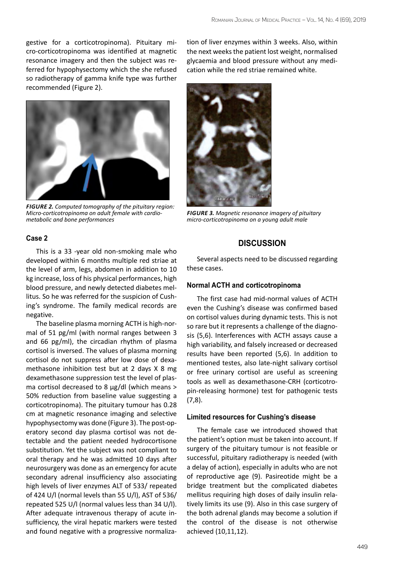gestive for a corticotropinoma). Pituitary micro-corticotropinoma was identified at magnetic resonance imagery and then the subject was referred for hypophysectomy which the she refused so radiotherapy of gamma knife type was further recommended (Figure 2).



*Figure 2. Computed tomography of the pituitary region: Micro-corticotropinoma on adult female with cardiometabolic and bone performances* 

### **Case 2**

This is a 33 -year old non-smoking male who developed within 6 months multiple red striae at the level of arm, legs, abdomen in addition to 10 kg increase, loss of his physical performances, high blood pressure, and newly detected diabetes mellitus. So he was referred for the suspicion of Cushing's syndrome. The family medical records are negative.

The baseline plasma morning ACTH is high-normal of 51 pg/ml (with normal ranges between 3 and 66 pg/ml), the circadian rhythm of plasma cortisol is inversed. The values of plasma morning cortisol do not suppress after low dose of dexamethasone inhibition test but at 2 days X 8 mg dexamethasone suppression test the level of plasma cortisol decreased to 8 µg/dl (which means > 50% reduction from baseline value suggesting a corticotropinoma). The pituitary tumour has 0.28 cm at magnetic resonance imaging and selective hypophysectomy was done (Figure 3). The post-operatory second day plasma cortisol was not detectable and the patient needed hydrocortisone substitution. Yet the subject was not compliant to oral therapy and he was admitted 10 days after neurosurgery was done as an emergency for acute secondary adrenal insufficiency also associating high levels of liver enzymes ALT of 533/ repeated of 424 U/l (normal levels than 55 U/l), AST of 536/ repeated 525 U/l (normal values less than 34 U/l). After adequate intravenous therapy of acute insufficiency, the viral hepatic markers were tested and found negative with a progressive normalization of liver enzymes within 3 weeks. Also, within the next weeks the patient lost weight, normalised glycaemia and blood pressure without any medication while the red striae remained white.



*Figure 3. Magnetic resonance imagery of pituitary micro-corticotropinoma on a young adult male* 

# **Discussion**

Several aspects need to be discussed regarding these cases.

### **Normal ACTH and corticotropinoma**

The first case had mid-normal values of ACTH even the Cushing's disease was confirmed based on cortisol values during dynamic tests. This is not so rare but it represents a challenge of the diagnosis (5,6). Interferences with ACTH assays cause a high variability, and falsely increased or decreased results have been reported (5,6). In addition to mentioned testes, also late-night salivary cortisol or free urinary cortisol are useful as screening tools as well as dexamethasone-CRH (corticotropin-releasing hormone) test for pathogenic tests (7,8).

### **Limited resources for Cushing's disease**

The female case we introduced showed that the patient's option must be taken into account. If surgery of the pituitary tumour is not feasible or successful, pituitary radiotherapy is needed (with a delay of action), especially in adults who are not of reproductive age (9). Pasireotide might be a bridge treatment but the complicated diabetes mellitus requiring high doses of daily insulin relatively limits its use (9). Also in this case surgery of the both adrenal glands may become a solution if the control of the disease is not otherwise achieved (10,11,12).